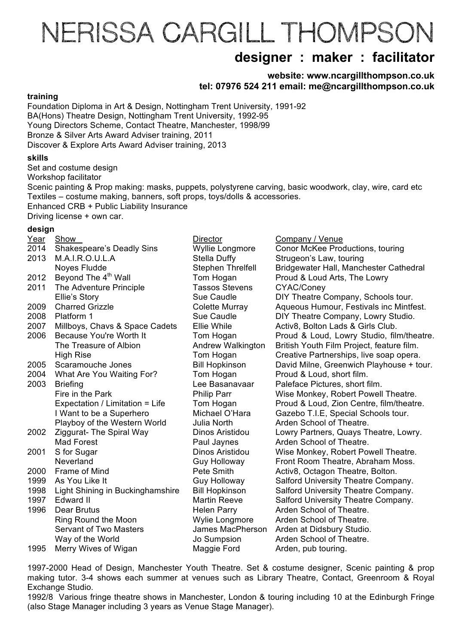# NERISSA CARGILL THOMPSON

## **designer : maker : facilitator**

**website: www.ncargillthompson.co.uk tel: 07976 524 211 email: me@ncargillthompson.co.uk** 

#### **training**

Foundation Diploma in Art & Design, Nottingham Trent University, 1991-92 BA(Hons) Theatre Design, Nottingham Trent University, 1992-95 Young Directors Scheme, Contact Theatre, Manchester, 1998/99 Bronze & Silver Arts Award Adviser training, 2011 Discover & Explore Arts Award Adviser training, 2013

#### **skills**

Set and costume design

Workshop facilitator

Scenic painting & Prop making: masks, puppets, polystyrene carving, basic woodwork, clay, wire, card etc Textiles – costume making, banners, soft props, toys/dolls & accessories. Enhanced CRB + Public Liability Insurance

Driving license + own car.

#### **design**

| Year | Show                             | <b>Director</b>          | Company / Venue                           |
|------|----------------------------------|--------------------------|-------------------------------------------|
| 2014 | Shakespeare's Deadly Sins        | Wyllie Longmore          | Conor McKee Productions, touring          |
| 2013 | M.A.I.R.O.U.L.A                  | Stella Duffy             | Strugeon's Law, touring                   |
|      | Noyes Fludde                     | <b>Stephen Threlfell</b> | Bridgewater Hall, Manchester Cathedral    |
| 2012 | Beyond The 4 <sup>th</sup> Wall  | Tom Hogan                | Proud & Loud Arts, The Lowry              |
| 2011 | The Adventure Principle          | <b>Tassos Stevens</b>    | CYAC/Coney                                |
|      | Ellie's Story                    | Sue Caudle               | DIY Theatre Company, Schools tour.        |
| 2009 | <b>Charred Grizzle</b>           | Colette Murray           | Aqueous Humour, Festivals inc Mintfest.   |
| 2008 | Platform 1                       | Sue Caudle               | DIY Theatre Company, Lowry Studio.        |
| 2007 | Millboys, Chavs & Space Cadets   | Ellie While              | Activ8, Bolton Lads & Girls Club.         |
| 2006 | <b>Because You're Worth It</b>   | Tom Hogan                | Proud & Loud, Lowry Studio, film/theatre. |
|      | The Treasure of Albion           | Andrew Walkington        | British Youth Film Project, feature film. |
|      | <b>High Rise</b>                 | Tom Hogan                | Creative Partnerships, live soap opera.   |
| 2005 | Scaramouche Jones                | <b>Bill Hopkinson</b>    | David Milne, Greenwich Playhouse + tour.  |
| 2004 | What Are You Waiting For?        | Tom Hogan                | Proud & Loud, short film.                 |
| 2003 | <b>Briefing</b>                  | Lee Basanavaar           | Paleface Pictures, short film.            |
|      | Fire in the Park                 | <b>Philip Parr</b>       | Wise Monkey, Robert Powell Theatre.       |
|      | Expectation / Limitation = Life  | Tom Hogan                | Proud & Loud, Zion Centre, film/theatre.  |
|      | I Want to be a Superhero         | Michael O'Hara           | Gazebo T.I.E, Special Schools tour.       |
|      | Playboy of the Western World     | Julia North              | Arden School of Theatre.                  |
| 2002 | Ziggurat- The Spiral Way         | Dinos Aristidou          | Lowry Partners, Quays Theatre, Lowry.     |
|      | <b>Mad Forest</b>                | Paul Jaynes              | Arden School of Theatre.                  |
| 2001 | S for Sugar                      | Dinos Aristidou          | Wise Monkey, Robert Powell Theatre.       |
|      | Neverland                        | <b>Guy Holloway</b>      | Front Room Theatre, Abraham Moss.         |
| 2000 | Frame of Mind                    | Pete Smith               | Activ8, Octagon Theatre, Bolton.          |
| 1999 | As You Like It                   | <b>Guy Holloway</b>      | Salford University Theatre Company.       |
| 1998 | Light Shining in Buckinghamshire | <b>Bill Hopkinson</b>    | Salford University Theatre Company.       |
| 1997 | Edward II                        | <b>Martin Reeve</b>      | Salford University Theatre Company.       |
| 1996 | Dear Brutus                      | <b>Helen Parry</b>       | Arden School of Theatre.                  |
|      | Ring Round the Moon              | Wylie Longmore           | Arden School of Theatre.                  |
|      | <b>Servant of Two Masters</b>    | <b>James MacPherson</b>  | Arden at Didsbury Studio.                 |
|      | Way of the World                 | Jo Sumpsion              | Arden School of Theatre.                  |
| 1995 | Merry Wives of Wigan             | Maggie Ford              | Arden, pub touring.                       |
|      |                                  |                          |                                           |

1997-2000 Head of Design, Manchester Youth Theatre. Set & costume designer, Scenic painting & prop making tutor. 3-4 shows each summer at venues such as Library Theatre, Contact, Greenroom & Royal Exchange Studio.

1992/8 Various fringe theatre shows in Manchester, London & touring including 10 at the Edinburgh Fringe (also Stage Manager including 3 years as Venue Stage Manager).